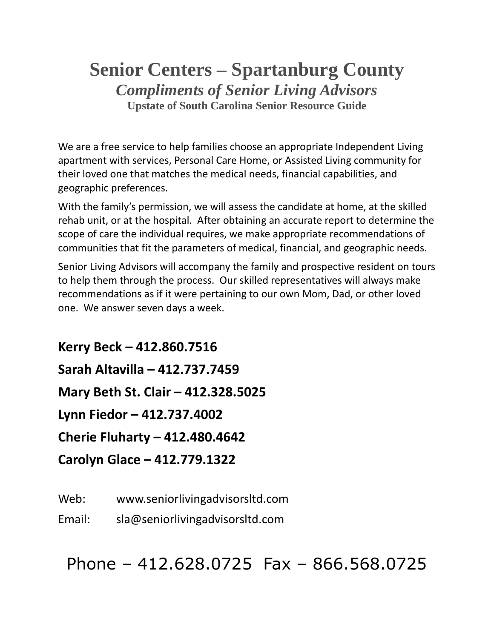## **Senior Centers – Spartanburg County** *Compliments of Senior Living Advisors* **Upstate of South Carolina Senior Resource Guide**

We are a free service to help families choose an appropriate Independent Living apartment with services, Personal Care Home, or Assisted Living community for their loved one that matches the medical needs, financial capabilities, and geographic preferences.

With the family's permission, we will assess the candidate at home, at the skilled rehab unit, or at the hospital. After obtaining an accurate report to determine the scope of care the individual requires, we make appropriate recommendations of communities that fit the parameters of medical, financial, and geographic needs.

Senior Living Advisors will accompany the family and prospective resident on tours to help them through the process. Our skilled representatives will always make recommendations as if it were pertaining to our own Mom, Dad, or other loved one. We answer seven days a week.

**Kerry Beck – 412.860.7516 Sarah Altavilla – 412.737.7459 Mary Beth St. Clair – 412.328.5025 Lynn Fiedor – 412.737.4002 Cherie Fluharty – 412.480.4642 Carolyn Glace – 412.779.1322**

Web: www.seniorlivingadvisorsltd.com

Email: sla@seniorlivingadvisorsltd.com

Phone – 412.628.0725 Fax – 866.568.0725